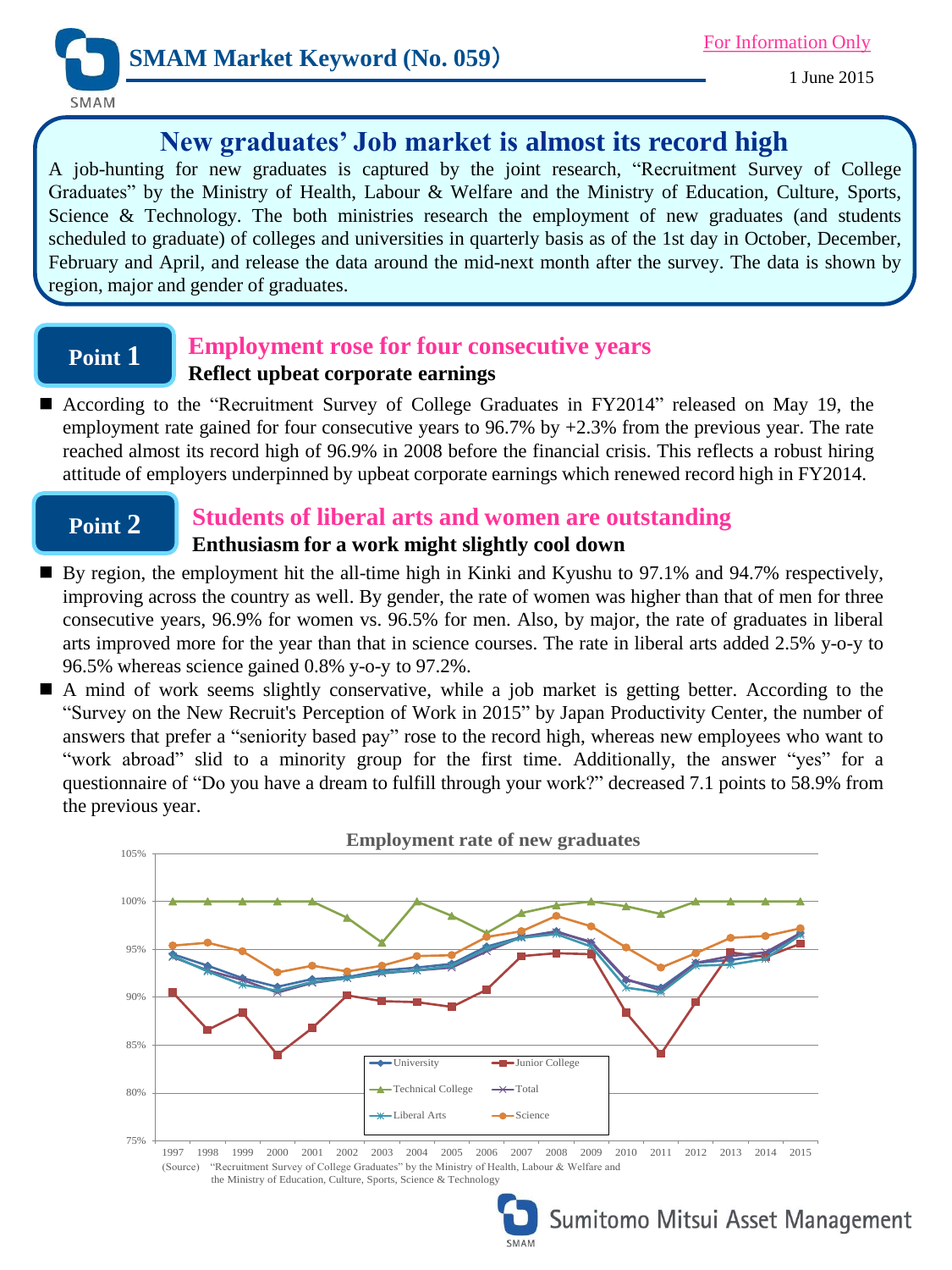

1 June 2015

## **New graduates' Job market is almost its record high**

A job-hunting for new graduates is captured by the joint research, "Recruitment Survey of College Graduates" by the Ministry of Health, Labour & Welfare and the Ministry of Education, Culture, Sports, Science & Technology. The both ministries research the employment of new graduates (and students scheduled to graduate) of colleges and universities in quarterly basis as of the 1st day in October, December, February and April, and release the data around the mid-next month after the survey. The data is shown by region, major and gender of graduates.

# **Point 1**

## **Employment rose for four consecutive years Reflect upbeat corporate earnings**

 According to the "Recruitment Survey of College Graduates in FY2014" released on May 19, the employment rate gained for four consecutive years to 96.7% by  $+2.3$ % from the previous year. The rate reached almost its record high of 96.9% in 2008 before the financial crisis. This reflects a robust hiring attitude of employers underpinned by upbeat corporate earnings which renewed record high in FY2014.

# **Point 2**

## **Students of liberal arts and women are outstanding Enthusiasm for a work might slightly cool down**

- By region, the employment hit the all-time high in Kinki and Kyushu to 97.1% and 94.7% respectively, improving across the country as well. By gender, the rate of women was higher than that of men for three consecutive years, 96.9% for women vs. 96.5% for men. Also, by major, the rate of graduates in liberal arts improved more for the year than that in science courses. The rate in liberal arts added 2.5% y-o-y to 96.5% whereas science gained 0.8% y-o-y to 97.2%.
- A mind of work seems slightly conservative, while a job market is getting better. According to the "Survey on the New Recruit's Perception of Work in 2015" by Japan Productivity Center, the number of answers that prefer a "seniority based pay" rose to the record high, whereas new employees who want to "work abroad" slid to a minority group for the first time. Additionally, the answer "yes" for a questionnaire of "Do you have a dream to fulfill through your work?" decreased 7.1 points to 58.9% from the previous year.